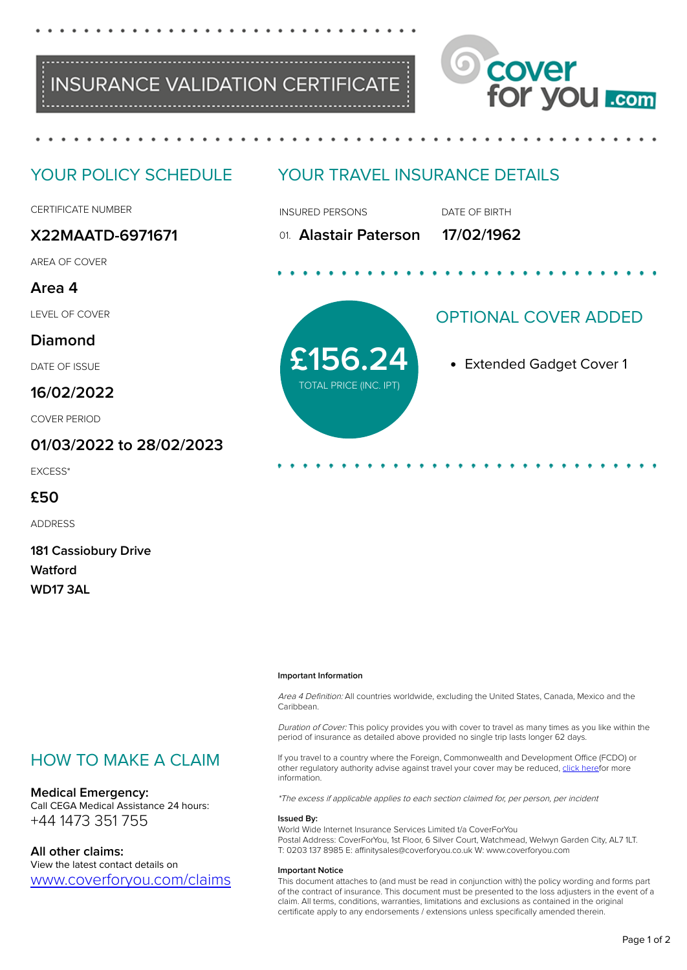



# YOUR POLICY SCHEDULE

CERTIFICATE NUMBER

# **X22MAATD-6971671**

AREA OF COVER

## **Area 4**

LEVEL OF COVER

## **Diamond**

DATE OF ISSUE

## **16/02/2022**

COVER PERIOD

## **01/03/2022 to 28/02/2023**

EXCESS\*

## **£50**

ADDRESS

| <b>181 Cassiobury Drive</b> |
|-----------------------------|
| Watford                     |
| WD17 3AL                    |

# YOUR TRAVEL INSURANCE DETAILS

INSURED PERSONS DATE OF BIRTH

01. **Alastair Paterson 17/02/1962**

**£156.24** Extended Gadget Cover 1 TOTAL PRICE (INC. IPT)

# OPTIONAL COVER ADDED

#### **Important Information**

Area 4 Definition: All countries worldwide, excluding the United States, Canada, Mexico and the Caribbean.

Duration of Cover: This policy provides you with cover to travel as many times as you like within the period of insurance as detailed above provided no single trip lasts longer 62 days.

If you travel to a country where the Foreign, Commonwealth and Development Office (FCDO) or other regulatory authority advise against travel your cover may be reduced, [click heref](https://www.coverforyou.com/fcdo_advice.php)or more information.

\*The excess if applicable applies to each section claimed for, per person, per incident

#### **Issued By:**

World Wide Internet Insurance Services Limited t/a CoverForYou Postal Address: CoverForYou, 1st Floor, 6 Silver Court, Watchmead, Welwyn Garden City, AL7 1LT. T: 0203 137 8985 E: affinitysales@coverforyou.co.uk W: www.coverforyou.com

#### **Important Notice**

This document attaches to (and must be read in conjunction with) the policy wording and forms part of the contract of insurance. This document must be presented to the loss adjusters in the event of a claim. All terms, conditions, warranties, limitations and exclusions as contained in the original certificate apply to any endorsements / extensions unless specifically amended therein.

# HOW TO MAKE A CLAIM

#### **Medical Emergency:**

Call CEGA Medical Assistance 24 hours: +44 1473 351 755

## **All other claims:**

View the latest contact details on [www.coverforyou.com/claims](https://www.coverforyou.com/claims)